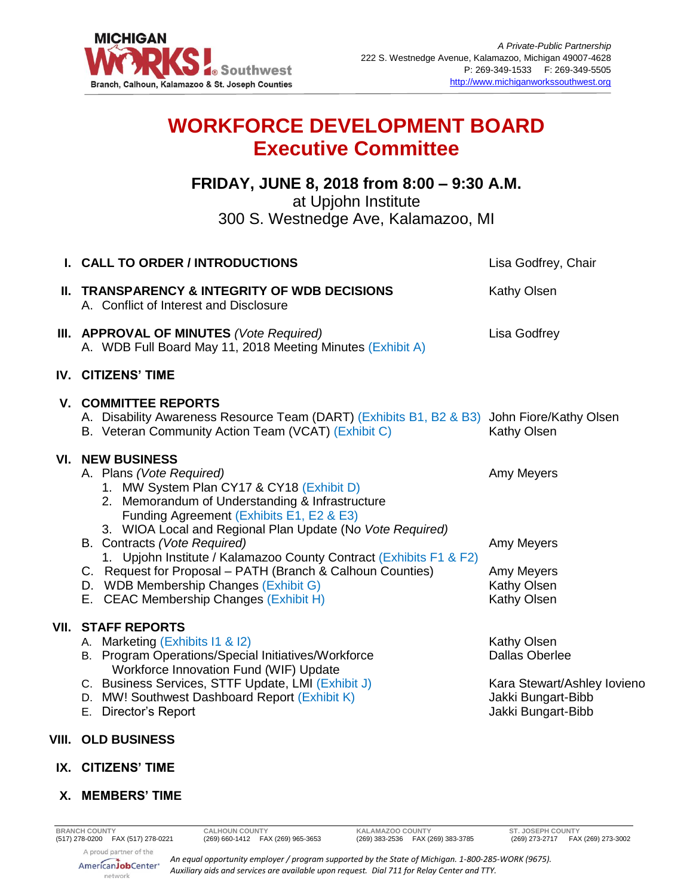

# **WORKFORCE DEVELOPMENT BOARD Executive Committee**

## **FRIDAY, JUNE 8, 2018 from 8:00 – 9:30 A.M.** at Upjohn Institute

300 S. Westnedge Ave, Kalamazoo, MI

| I. CALL TO ORDER / INTRODUCTIONS                                                                                                                                                                                                                                                                                                                                                                                                                                                                                    | Lisa Godfrey, Chair                                                                                             |
|---------------------------------------------------------------------------------------------------------------------------------------------------------------------------------------------------------------------------------------------------------------------------------------------------------------------------------------------------------------------------------------------------------------------------------------------------------------------------------------------------------------------|-----------------------------------------------------------------------------------------------------------------|
| <b>II. TRANSPARENCY &amp; INTEGRITY OF WDB DECISIONS</b><br>A. Conflict of Interest and Disclosure                                                                                                                                                                                                                                                                                                                                                                                                                  | Kathy Olsen                                                                                                     |
| III. APPROVAL OF MINUTES (Vote Required)<br>A. WDB Full Board May 11, 2018 Meeting Minutes (Exhibit A)                                                                                                                                                                                                                                                                                                                                                                                                              | Lisa Godfrey                                                                                                    |
| <b>IV. CITIZENS' TIME</b>                                                                                                                                                                                                                                                                                                                                                                                                                                                                                           |                                                                                                                 |
| <b>V. COMMITTEE REPORTS</b><br>A. Disability Awareness Resource Team (DART) (Exhibits B1, B2 & B3) John Fiore/Kathy Olsen<br>B. Veteran Community Action Team (VCAT) (Exhibit C)                                                                                                                                                                                                                                                                                                                                    | Kathy Olsen                                                                                                     |
| <b>VI. NEW BUSINESS</b><br>A. Plans (Vote Required)<br>1. MW System Plan CY17 & CY18 (Exhibit D)<br>2. Memorandum of Understanding & Infrastructure<br>Funding Agreement (Exhibits E1, E2 & E3)<br>3. WIOA Local and Regional Plan Update (No Vote Required)<br>B. Contracts (Vote Required)<br>1. Upjohn Institute / Kalamazoo County Contract (Exhibits F1 & F2)<br>C. Request for Proposal - PATH (Branch & Calhoun Counties)<br>D. WDB Membership Changes (Exhibit G)<br>E. CEAC Membership Changes (Exhibit H) | Amy Meyers<br>Amy Meyers<br>Amy Meyers<br>Kathy Olsen<br>Kathy Olsen                                            |
| <b>VII. STAFF REPORTS</b><br>A. Marketing (Exhibits I1 & I2)<br>B. Program Operations/Special Initiatives/Workforce<br>Workforce Innovation Fund (WIF) Update<br>C. Business Services, STTF Update, LMI (Exhibit J)<br>D. MW! Southwest Dashboard Report (Exhibit K)<br>E. Director's Report                                                                                                                                                                                                                        | Kathy Olsen<br><b>Dallas Oberlee</b><br>Kara Stewart/Ashley Iovieno<br>Jakki Bungart-Bibb<br>Jakki Bungart-Bibb |
| VIII. OLD BUSINESS                                                                                                                                                                                                                                                                                                                                                                                                                                                                                                  |                                                                                                                 |

**IX. CITIZENS' TIME**

### **X. MEMBERS' TIME**

*An equal opportunity employer / program supported by the State of Michigan. 1-800-285-WORK (9675). Auxiliary aids and services are available upon request. Dial 711 for Relay Center and TTY.*